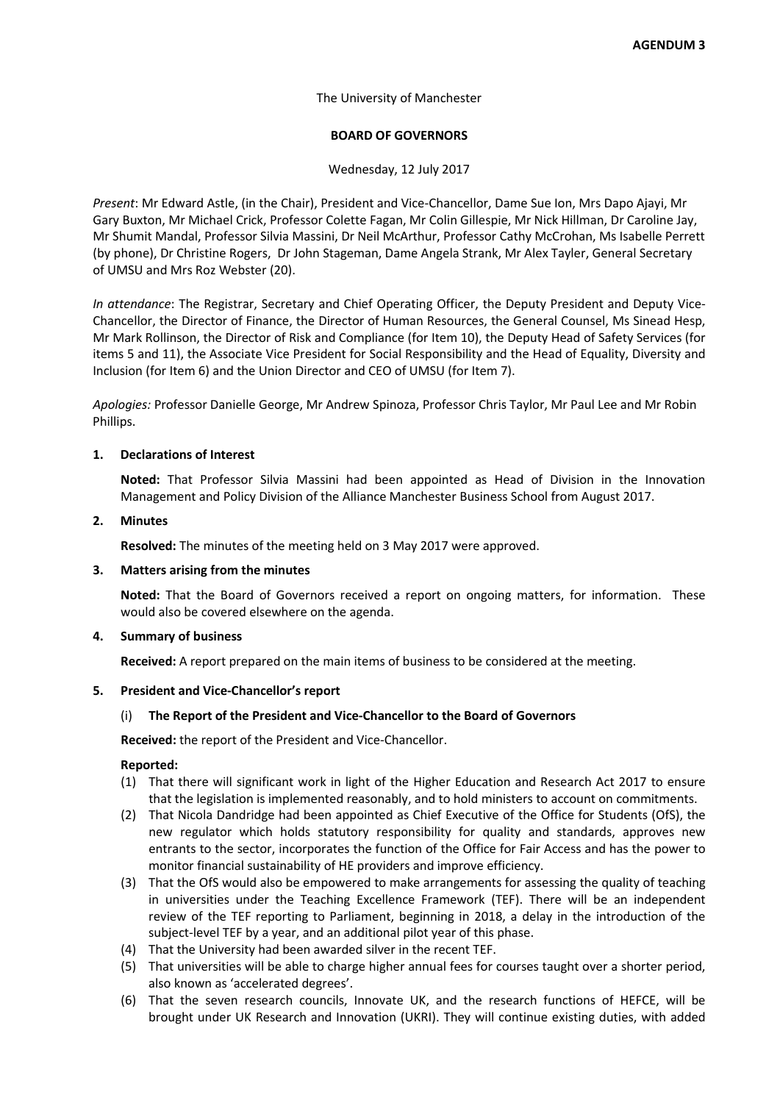The University of Manchester

# **BOARD OF GOVERNORS**

Wednesday, 12 July 2017

*Present*: Mr Edward Astle, (in the Chair), President and Vice-Chancellor, Dame Sue Ion, Mrs Dapo Ajayi, Mr Gary Buxton, Mr Michael Crick, Professor Colette Fagan, Mr Colin Gillespie, Mr Nick Hillman, Dr Caroline Jay, Mr Shumit Mandal, Professor Silvia Massini, Dr Neil McArthur, Professor Cathy McCrohan, Ms Isabelle Perrett (by phone), Dr Christine Rogers, Dr John Stageman, Dame Angela Strank, Mr Alex Tayler, General Secretary of UMSU and Mrs Roz Webster (20).

*In attendance*: The Registrar, Secretary and Chief Operating Officer, the Deputy President and Deputy Vice-Chancellor, the Director of Finance, the Director of Human Resources, the General Counsel, Ms Sinead Hesp, Mr Mark Rollinson, the Director of Risk and Compliance (for Item 10), the Deputy Head of Safety Services (for items 5 and 11), the Associate Vice President for Social Responsibility and the Head of Equality, Diversity and Inclusion (for Item 6) and the Union Director and CEO of UMSU (for Item 7).

*Apologies:* Professor Danielle George, Mr Andrew Spinoza, Professor Chris Taylor, Mr Paul Lee and Mr Robin Phillips.

### **1. Declarations of Interest**

**Noted:** That Professor Silvia Massini had been appointed as Head of Division in the Innovation Management and Policy Division of the Alliance Manchester Business School from August 2017.

### **2. Minutes**

**Resolved:** The minutes of the meeting held on 3 May 2017 were approved.

## **3. Matters arising from the minutes**

**Noted:** That the Board of Governors received a report on ongoing matters, for information. These would also be covered elsewhere on the agenda.

## **4. Summary of business**

**Received:** A report prepared on the main items of business to be considered at the meeting.

#### **5. President and Vice-Chancellor's report**

#### (i) **The Report of the President and Vice-Chancellor to the Board of Governors**

**Received:** the report of the President and Vice-Chancellor.

- (1) That there will significant work in light of the Higher Education and Research Act 2017 to ensure that the legislation is implemented reasonably, and to hold ministers to account on commitments.
- (2) That Nicola Dandridge had been appointed as Chief Executive of the Office for Students (OfS), the new regulator which holds statutory responsibility for quality and standards, approves new entrants to the sector, incorporates the function of the Office for Fair Access and has the power to monitor financial sustainability of HE providers and improve efficiency.
- (3) That the OfS would also be empowered to make arrangements for assessing the quality of teaching in universities under the Teaching Excellence Framework (TEF). There will be an independent review of the TEF reporting to Parliament, beginning in 2018, a delay in the introduction of the subject-level TEF by a year, and an additional pilot year of this phase.
- (4) That the University had been awarded silver in the recent TEF.
- (5) That universities will be able to charge higher annual fees for courses taught over a shorter period, also known as 'accelerated degrees'.
- (6) That the seven research councils, Innovate UK, and the research functions of HEFCE, will be brought under UK Research and Innovation (UKRI). They will continue existing duties, with added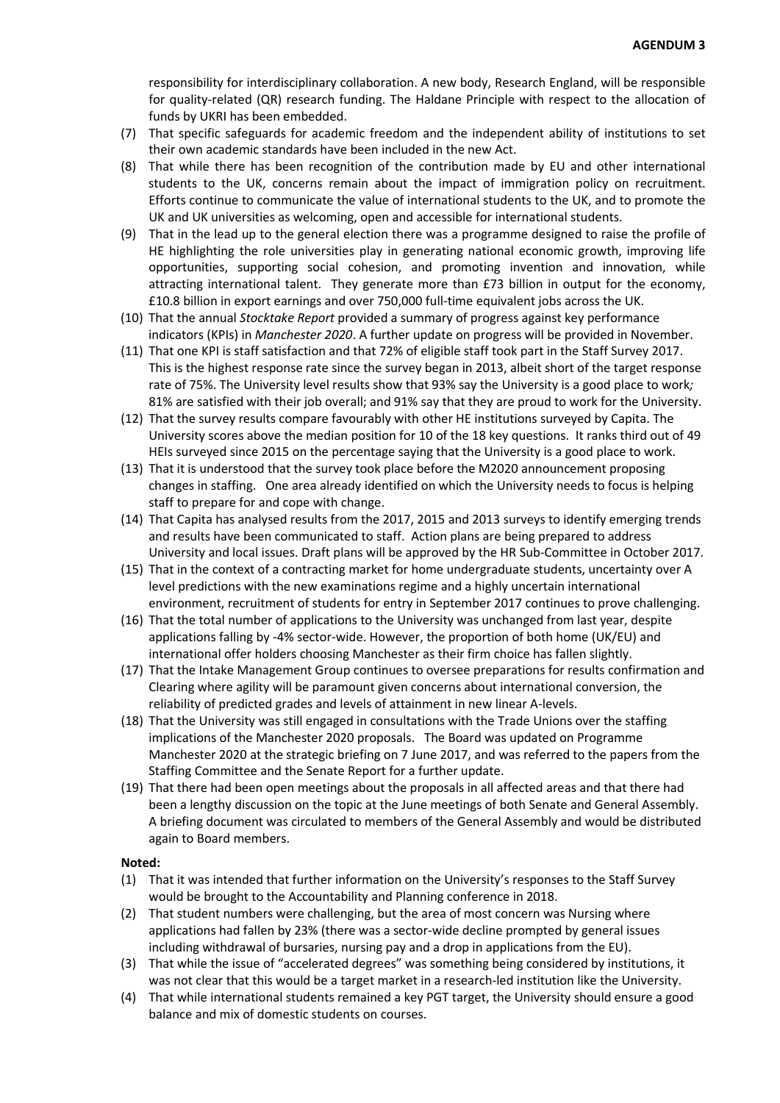responsibility for interdisciplinary collaboration. A new body, Research England, will be responsible for quality-related (QR) research funding. The Haldane Principle with respect to the allocation of funds by UKRI has been embedded.

- (7) That specific safeguards for academic freedom and the independent ability of institutions to set their own academic standards have been included in the new Act.
- (8) That while there has been recognition of the contribution made by EU and other international students to the UK, concerns remain about the impact of immigration policy on recruitment. Efforts continue to communicate the value of international students to the UK, and to promote the UK and UK universities as welcoming, open and accessible for international students.
- (9) That in the lead up to the general election there was a programme designed to raise the profile of HE highlighting the role universities play in generating national economic growth, improving life opportunities, supporting social cohesion, and promoting invention and innovation, while attracting international talent. They generate more than £73 billion in output for the economy, £10.8 billion in export earnings and over 750,000 full-time equivalent jobs across the UK.
- (10) That the annual *Stocktake Report* provided a summary of progress against key performance indicators (KPIs) in *Manchester 2020*. A further update on progress will be provided in November.
- (11) That one KPI is staff satisfaction and that 72% of eligible staff took part in the Staff Survey 2017. This is the highest response rate since the survey began in 2013, albeit short of the target response rate of 75%. The University level results show that 93% say the University is a good place to work*;* 81% are satisfied with their job overall; and 91% say that they are proud to work for the University.
- (12) That the survey results compare favourably with other HE institutions surveyed by Capita. The University scores above the median position for 10 of the 18 key questions. It ranks third out of 49 HEIs surveyed since 2015 on the percentage saying that the University is a good place to work.
- (13) That it is understood that the survey took place before the M2020 announcement proposing changes in staffing. One area already identified on which the University needs to focus is helping staff to prepare for and cope with change.
- (14) That Capita has analysed results from the 2017, 2015 and 2013 surveys to identify emerging trends and results have been communicated to staff. Action plans are being prepared to address University and local issues. Draft plans will be approved by the HR Sub-Committee in October 2017.
- (15) That in the context of a contracting market for home undergraduate students, uncertainty over A level predictions with the new examinations regime and a highly uncertain international environment, recruitment of students for entry in September 2017 continues to prove challenging.
- (16) That the total number of applications to the University was unchanged from last year, despite applications falling by -4% sector-wide. However, the proportion of both home (UK/EU) and international offer holders choosing Manchester as their firm choice has fallen slightly.
- (17) That the Intake Management Group continues to oversee preparations for results confirmation and Clearing where agility will be paramount given concerns about international conversion, the reliability of predicted grades and levels of attainment in new linear A-levels.
- (18) That the University was still engaged in consultations with the Trade Unions over the staffing implications of the Manchester 2020 proposals. The Board was updated on Programme Manchester 2020 at the strategic briefing on 7 June 2017, and was referred to the papers from the Staffing Committee and the Senate Report for a further update.
- (19) That there had been open meetings about the proposals in all affected areas and that there had been a lengthy discussion on the topic at the June meetings of both Senate and General Assembly. A briefing document was circulated to members of the General Assembly and would be distributed again to Board members.

## **Noted:**

- (1) That it was intended that further information on the University's responses to the Staff Survey would be brought to the Accountability and Planning conference in 2018.
- (2) That student numbers were challenging, but the area of most concern was Nursing where applications had fallen by 23% (there was a sector-wide decline prompted by general issues including withdrawal of bursaries, nursing pay and a drop in applications from the EU).
- (3) That while the issue of "accelerated degrees" was something being considered by institutions, it was not clear that this would be a target market in a research-led institution like the University.
- (4) That while international students remained a key PGT target, the University should ensure a good balance and mix of domestic students on courses.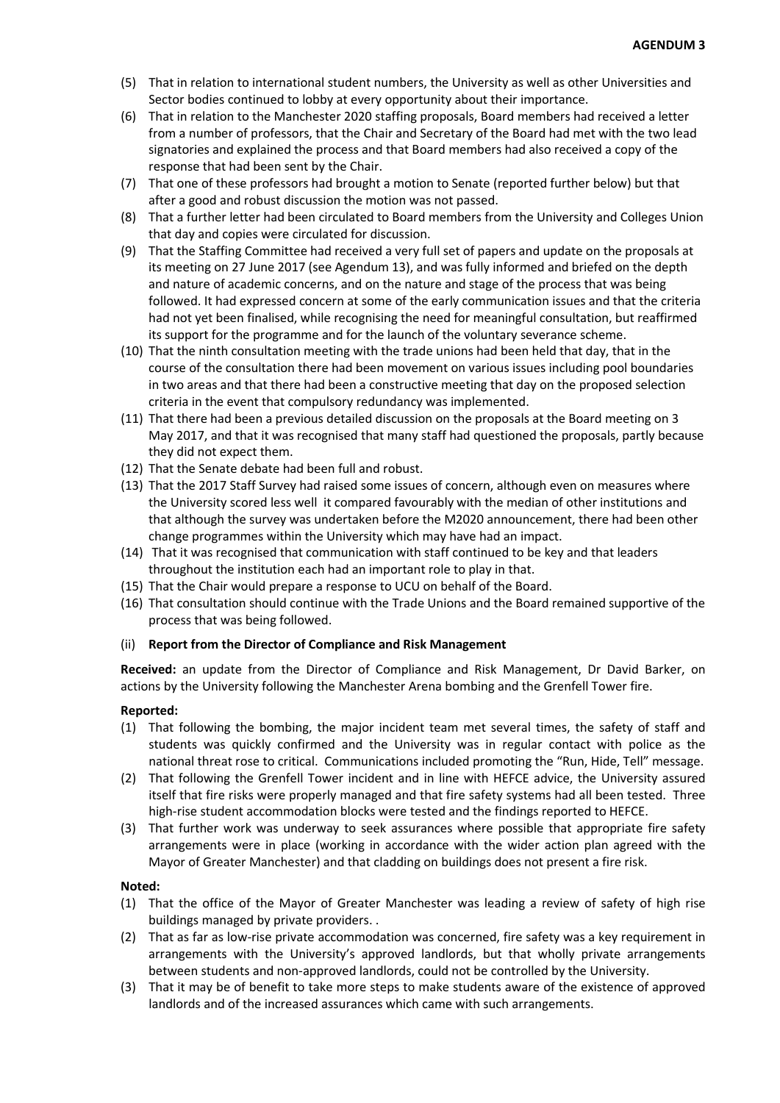- (5) That in relation to international student numbers, the University as well as other Universities and Sector bodies continued to lobby at every opportunity about their importance.
- (6) That in relation to the Manchester 2020 staffing proposals, Board members had received a letter from a number of professors, that the Chair and Secretary of the Board had met with the two lead signatories and explained the process and that Board members had also received a copy of the response that had been sent by the Chair.
- (7) That one of these professors had brought a motion to Senate (reported further below) but that after a good and robust discussion the motion was not passed.
- (8) That a further letter had been circulated to Board members from the University and Colleges Union that day and copies were circulated for discussion.
- (9) That the Staffing Committee had received a very full set of papers and update on the proposals at its meeting on 27 June 2017 (see Agendum 13), and was fully informed and briefed on the depth and nature of academic concerns, and on the nature and stage of the process that was being followed. It had expressed concern at some of the early communication issues and that the criteria had not yet been finalised, while recognising the need for meaningful consultation, but reaffirmed its support for the programme and for the launch of the voluntary severance scheme.
- (10) That the ninth consultation meeting with the trade unions had been held that day, that in the course of the consultation there had been movement on various issues including pool boundaries in two areas and that there had been a constructive meeting that day on the proposed selection criteria in the event that compulsory redundancy was implemented.
- (11) That there had been a previous detailed discussion on the proposals at the Board meeting on 3 May 2017, and that it was recognised that many staff had questioned the proposals, partly because they did not expect them.
- (12) That the Senate debate had been full and robust.
- (13) That the 2017 Staff Survey had raised some issues of concern, although even on measures where the University scored less well it compared favourably with the median of other institutions and that although the survey was undertaken before the M2020 announcement, there had been other change programmes within the University which may have had an impact.
- (14) That it was recognised that communication with staff continued to be key and that leaders throughout the institution each had an important role to play in that.
- (15) That the Chair would prepare a response to UCU on behalf of the Board.
- (16) That consultation should continue with the Trade Unions and the Board remained supportive of the process that was being followed.

## (ii) **Report from the Director of Compliance and Risk Management**

**Received:** an update from the Director of Compliance and Risk Management, Dr David Barker, on actions by the University following the Manchester Arena bombing and the Grenfell Tower fire.

## **Reported:**

- (1) That following the bombing, the major incident team met several times, the safety of staff and students was quickly confirmed and the University was in regular contact with police as the national threat rose to critical. Communications included promoting the "Run, Hide, Tell" message.
- (2) That following the Grenfell Tower incident and in line with HEFCE advice, the University assured itself that fire risks were properly managed and that fire safety systems had all been tested. Three high-rise student accommodation blocks were tested and the findings reported to HEFCE.
- (3) That further work was underway to seek assurances where possible that appropriate fire safety arrangements were in place (working in accordance with the wider action plan agreed with the Mayor of Greater Manchester) and that cladding on buildings does not present a fire risk.

## **Noted:**

- (1) That the office of the Mayor of Greater Manchester was leading a review of safety of high rise buildings managed by private providers. .
- (2) That as far as low-rise private accommodation was concerned, fire safety was a key requirement in arrangements with the University's approved landlords, but that wholly private arrangements between students and non-approved landlords, could not be controlled by the University.
- (3) That it may be of benefit to take more steps to make students aware of the existence of approved landlords and of the increased assurances which came with such arrangements.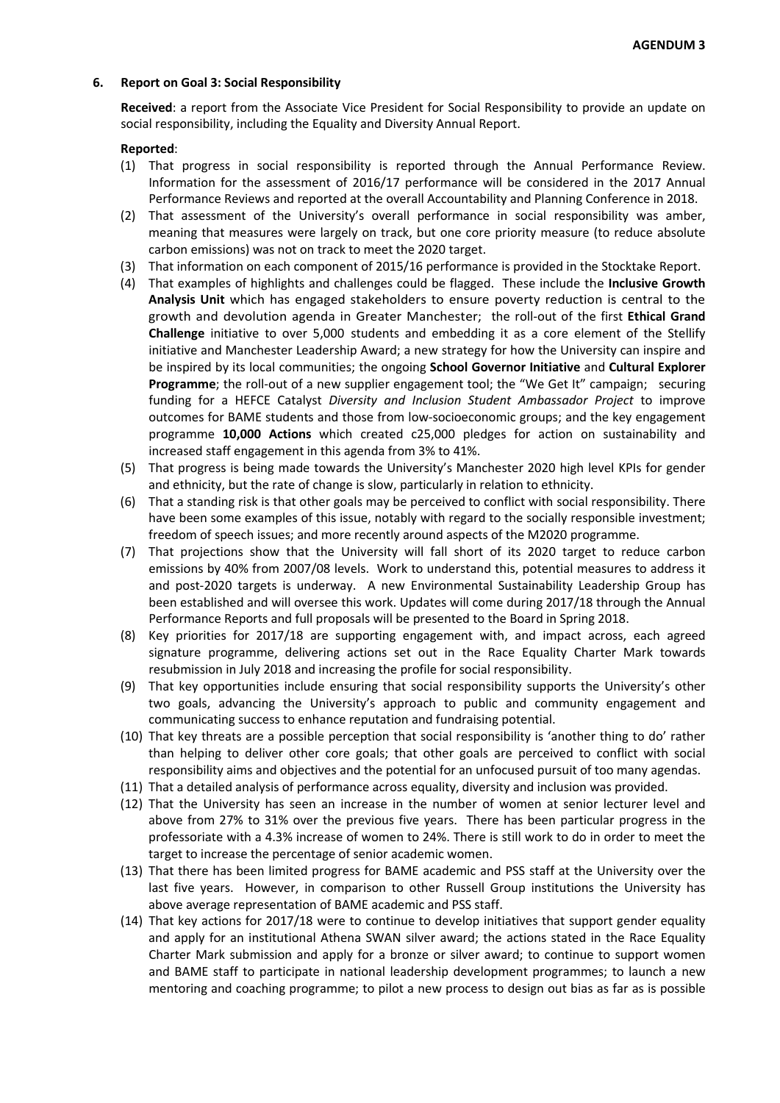### **6. Report on Goal 3: Social Responsibility**

**Received**: a report from the Associate Vice President for Social Responsibility to provide an update on social responsibility, including the Equality and Diversity Annual Report.

- (1) That progress in social responsibility is reported through the Annual Performance Review. Information for the assessment of 2016/17 performance will be considered in the 2017 Annual Performance Reviews and reported at the overall Accountability and Planning Conference in 2018.
- (2) That assessment of the University's overall performance in social responsibility was amber, meaning that measures were largely on track, but one core priority measure (to reduce absolute carbon emissions) was not on track to meet the 2020 target.
- (3) That information on each component of 2015/16 performance is provided in the Stocktake Report.
- (4) That examples of highlights and challenges could be flagged. These include the **Inclusive Growth Analysis Unit** which has engaged stakeholders to ensure poverty reduction is central to the growth and devolution agenda in Greater Manchester; the roll-out of the first **Ethical Grand Challenge** initiative to over 5,000 students and embedding it as a core element of the Stellify initiative and Manchester Leadership Award; a new strategy for how the University can inspire and be inspired by its local communities; the ongoing **School Governor Initiative** and **Cultural Explorer Programme**; the roll-out of a new supplier engagement tool; the "We Get It" campaign; securing funding for a HEFCE Catalyst *Diversity and Inclusion Student Ambassador Project* to improve outcomes for BAME students and those from low-socioeconomic groups; and the key engagement programme **10,000 Actions** which created c25,000 pledges for action on sustainability and increased staff engagement in this agenda from 3% to 41%.
- (5) That progress is being made towards the University's Manchester 2020 high level KPIs for gender and ethnicity, but the rate of change is slow, particularly in relation to ethnicity.
- (6) That a standing risk is that other goals may be perceived to conflict with social responsibility. There have been some examples of this issue, notably with regard to the socially responsible investment; freedom of speech issues; and more recently around aspects of the M2020 programme.
- (7) That projections show that the University will fall short of its 2020 target to reduce carbon emissions by 40% from 2007/08 levels. Work to understand this, potential measures to address it and post-2020 targets is underway. A new Environmental Sustainability Leadership Group has been established and will oversee this work. Updates will come during 2017/18 through the Annual Performance Reports and full proposals will be presented to the Board in Spring 2018.
- (8) Key priorities for 2017/18 are supporting engagement with, and impact across, each agreed signature programme, delivering actions set out in the Race Equality Charter Mark towards resubmission in July 2018 and increasing the profile for social responsibility.
- (9) That key opportunities include ensuring that social responsibility supports the University's other two goals, advancing the University's approach to public and community engagement and communicating success to enhance reputation and fundraising potential.
- (10) That key threats are a possible perception that social responsibility is 'another thing to do' rather than helping to deliver other core goals; that other goals are perceived to conflict with social responsibility aims and objectives and the potential for an unfocused pursuit of too many agendas.
- (11) That a detailed analysis of performance across equality, diversity and inclusion was provided.
- (12) That the University has seen an increase in the number of women at senior lecturer level and above from 27% to 31% over the previous five years. There has been particular progress in the professoriate with a 4.3% increase of women to 24%. There is still work to do in order to meet the target to increase the percentage of senior academic women.
- (13) That there has been limited progress for BAME academic and PSS staff at the University over the last five years. However, in comparison to other Russell Group institutions the University has above average representation of BAME academic and PSS staff.
- (14) That key actions for 2017/18 were to continue to develop initiatives that support gender equality and apply for an institutional Athena SWAN silver award; the actions stated in the Race Equality Charter Mark submission and apply for a bronze or silver award; to continue to support women and BAME staff to participate in national leadership development programmes; to launch a new mentoring and coaching programme; to pilot a new process to design out bias as far as is possible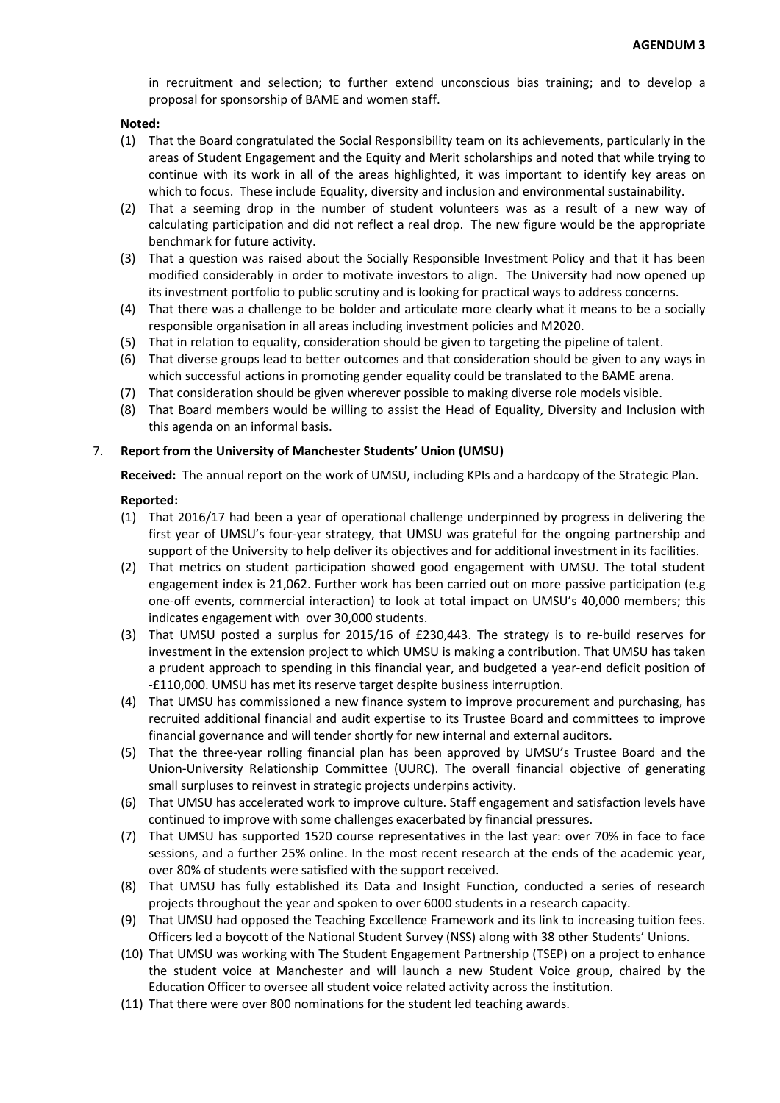in recruitment and selection; to further extend unconscious bias training; and to develop a proposal for sponsorship of BAME and women staff.

### **Noted:**

- (1) That the Board congratulated the Social Responsibility team on its achievements, particularly in the areas of Student Engagement and the Equity and Merit scholarships and noted that while trying to continue with its work in all of the areas highlighted, it was important to identify key areas on which to focus. These include Equality, diversity and inclusion and environmental sustainability.
- (2) That a seeming drop in the number of student volunteers was as a result of a new way of calculating participation and did not reflect a real drop. The new figure would be the appropriate benchmark for future activity.
- (3) That a question was raised about the Socially Responsible Investment Policy and that it has been modified considerably in order to motivate investors to align. The University had now opened up its investment portfolio to public scrutiny and is looking for practical ways to address concerns.
- (4) That there was a challenge to be bolder and articulate more clearly what it means to be a socially responsible organisation in all areas including investment policies and M2020.
- (5) That in relation to equality, consideration should be given to targeting the pipeline of talent.
- (6) That diverse groups lead to better outcomes and that consideration should be given to any ways in which successful actions in promoting gender equality could be translated to the BAME arena.
- (7) That consideration should be given wherever possible to making diverse role models visible.
- (8) That Board members would be willing to assist the Head of Equality, Diversity and Inclusion with this agenda on an informal basis.

## 7. **Report from the University of Manchester Students' Union (UMSU)**

**Received:** The annual report on the work of UMSU, including KPIs and a hardcopy of the Strategic Plan.

- (1) That 2016/17 had been a year of operational challenge underpinned by progress in delivering the first year of UMSU's four-year strategy, that UMSU was grateful for the ongoing partnership and support of the University to help deliver its objectives and for additional investment in its facilities.
- (2) That metrics on student participation showed good engagement with UMSU. The total student engagement index is 21,062. Further work has been carried out on more passive participation (e.g one-off events, commercial interaction) to look at total impact on UMSU's 40,000 members; this indicates engagement with over 30,000 students.
- (3) That UMSU posted a surplus for 2015/16 of £230,443. The strategy is to re-build reserves for investment in the extension project to which UMSU is making a contribution. That UMSU has taken a prudent approach to spending in this financial year, and budgeted a year-end deficit position of -£110,000. UMSU has met its reserve target despite business interruption.
- (4) That UMSU has commissioned a new finance system to improve procurement and purchasing, has recruited additional financial and audit expertise to its Trustee Board and committees to improve financial governance and will tender shortly for new internal and external auditors.
- (5) That the three-year rolling financial plan has been approved by UMSU's Trustee Board and the Union-University Relationship Committee (UURC). The overall financial objective of generating small surpluses to reinvest in strategic projects underpins activity.
- (6) That UMSU has accelerated work to improve culture. Staff engagement and satisfaction levels have continued to improve with some challenges exacerbated by financial pressures.
- (7) That UMSU has supported 1520 course representatives in the last year: over 70% in face to face sessions, and a further 25% online. In the most recent research at the ends of the academic year, over 80% of students were satisfied with the support received.
- (8) That UMSU has fully established its Data and Insight Function, conducted a series of research projects throughout the year and spoken to over 6000 students in a research capacity.
- (9) That UMSU had opposed the Teaching Excellence Framework and its link to increasing tuition fees. Officers led a boycott of the National Student Survey (NSS) along with 38 other Students' Unions.
- (10) That UMSU was working with The Student Engagement Partnership (TSEP) on a project to enhance the student voice at Manchester and will launch a new Student Voice group, chaired by the Education Officer to oversee all student voice related activity across the institution.
- (11) That there were over 800 nominations for the student led teaching awards.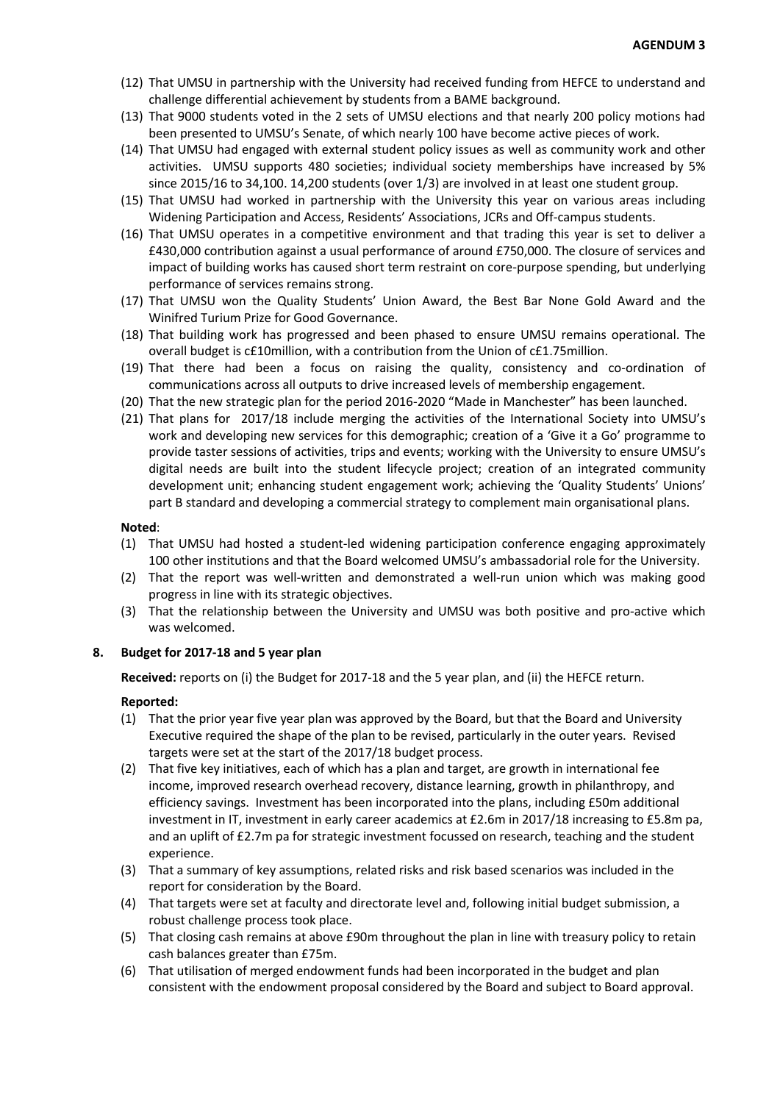- (12) That UMSU in partnership with the University had received funding from HEFCE to understand and challenge differential achievement by students from a BAME background.
- (13) That 9000 students voted in the 2 sets of UMSU elections and that nearly 200 policy motions had been presented to UMSU's Senate, of which nearly 100 have become active pieces of work.
- (14) That UMSU had engaged with external student policy issues as well as community work and other activities. UMSU supports 480 societies; individual society memberships have increased by 5% since 2015/16 to 34,100. 14,200 students (over 1/3) are involved in at least one student group.
- (15) That UMSU had worked in partnership with the University this year on various areas including Widening Participation and Access, Residents' Associations, JCRs and Off-campus students.
- (16) That UMSU operates in a competitive environment and that trading this year is set to deliver a £430,000 contribution against a usual performance of around £750,000. The closure of services and impact of building works has caused short term restraint on core-purpose spending, but underlying performance of services remains strong.
- (17) That UMSU won the Quality Students' Union Award, the Best Bar None Gold Award and the Winifred Turium Prize for Good Governance.
- (18) That building work has progressed and been phased to ensure UMSU remains operational. The overall budget is c£10million, with a contribution from the Union of c£1.75million.
- (19) That there had been a focus on raising the quality, consistency and co-ordination of communications across all outputs to drive increased levels of membership engagement.
- (20) That the new strategic plan for the period 2016-2020 "Made in Manchester" has been launched.
- (21) That plans for 2017/18 include merging the activities of the International Society into UMSU's work and developing new services for this demographic; creation of a 'Give it a Go' programme to provide taster sessions of activities, trips and events; working with the University to ensure UMSU's digital needs are built into the student lifecycle project; creation of an integrated community development unit; enhancing student engagement work; achieving the 'Quality Students' Unions' part B standard and developing a commercial strategy to complement main organisational plans.

### **Noted**:

- (1) That UMSU had hosted a student-led widening participation conference engaging approximately 100 other institutions and that the Board welcomed UMSU's ambassadorial role for the University.
- (2) That the report was well-written and demonstrated a well-run union which was making good progress in line with its strategic objectives.
- (3) That the relationship between the University and UMSU was both positive and pro-active which was welcomed.

## **8. Budget for 2017-18 and 5 year plan**

**Received:** reports on (i) the Budget for 2017-18 and the 5 year plan, and (ii) the HEFCE return.

- (1) That the prior year five year plan was approved by the Board, but that the Board and University Executive required the shape of the plan to be revised, particularly in the outer years. Revised targets were set at the start of the 2017/18 budget process.
- (2) That five key initiatives, each of which has a plan and target, are growth in international fee income, improved research overhead recovery, distance learning, growth in philanthropy, and efficiency savings. Investment has been incorporated into the plans, including £50m additional investment in IT, investment in early career academics at £2.6m in 2017/18 increasing to £5.8m pa, and an uplift of £2.7m pa for strategic investment focussed on research, teaching and the student experience.
- (3) That a summary of key assumptions, related risks and risk based scenarios was included in the report for consideration by the Board.
- (4) That targets were set at faculty and directorate level and, following initial budget submission, a robust challenge process took place.
- (5) That closing cash remains at above £90m throughout the plan in line with treasury policy to retain cash balances greater than £75m.
- (6) That utilisation of merged endowment funds had been incorporated in the budget and plan consistent with the endowment proposal considered by the Board and subject to Board approval.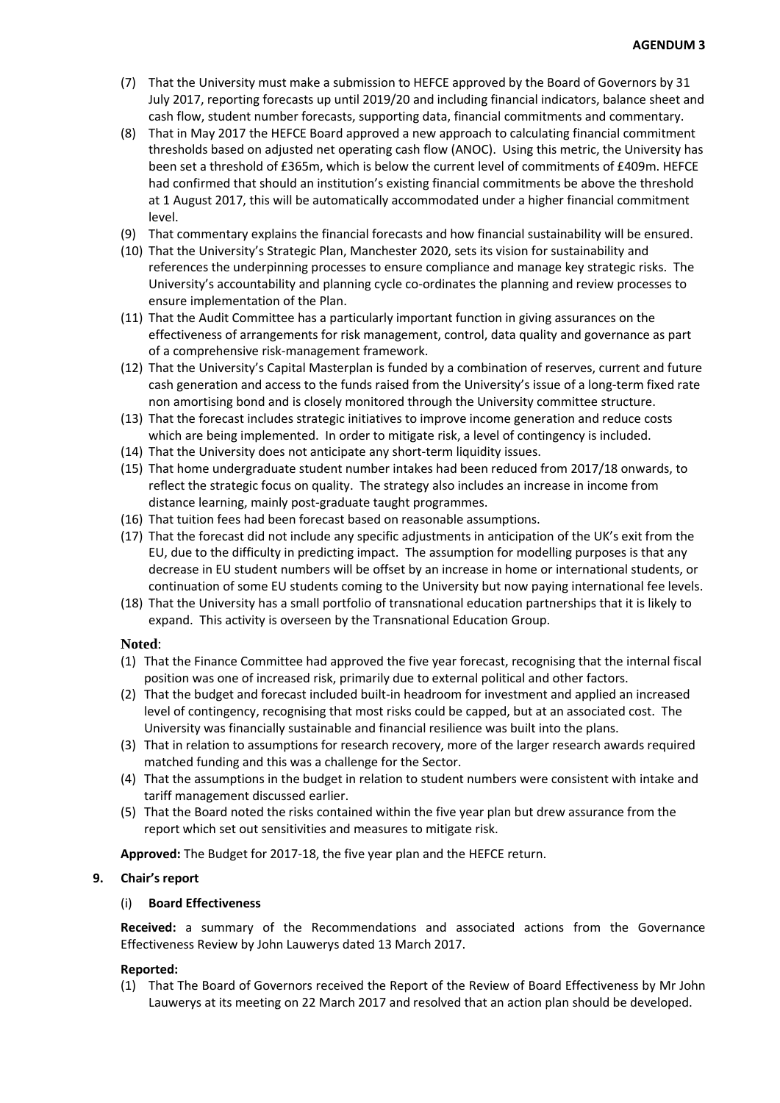- (7) That the University must make a submission to HEFCE approved by the Board of Governors by 31 July 2017, reporting forecasts up until 2019/20 and including financial indicators, balance sheet and cash flow, student number forecasts, supporting data, financial commitments and commentary.
- (8) That in May 2017 the HEFCE Board approved a new approach to calculating financial commitment thresholds based on adjusted net operating cash flow (ANOC). Using this metric, the University has been set a threshold of £365m, which is below the current level of commitments of £409m. HEFCE had confirmed that should an institution's existing financial commitments be above the threshold at 1 August 2017, this will be automatically accommodated under a higher financial commitment level.
- (9) That commentary explains the financial forecasts and how financial sustainability will be ensured.
- (10) That the University's Strategic Plan, Manchester 2020, sets its vision for sustainability and references the underpinning processes to ensure compliance and manage key strategic risks. The University's accountability and planning cycle co-ordinates the planning and review processes to ensure implementation of the Plan.
- (11) That the Audit Committee has a particularly important function in giving assurances on the effectiveness of arrangements for risk management, control, data quality and governance as part of a comprehensive risk-management framework.
- (12) That the University's Capital Masterplan is funded by a combination of reserves, current and future cash generation and access to the funds raised from the University's issue of a long-term fixed rate non amortising bond and is closely monitored through the University committee structure.
- (13) That the forecast includes strategic initiatives to improve income generation and reduce costs which are being implemented. In order to mitigate risk, a level of contingency is included.
- (14) That the University does not anticipate any short-term liquidity issues.
- (15) That home undergraduate student number intakes had been reduced from 2017/18 onwards, to reflect the strategic focus on quality. The strategy also includes an increase in income from distance learning, mainly post-graduate taught programmes.
- (16) That tuition fees had been forecast based on reasonable assumptions.
- (17) That the forecast did not include any specific adjustments in anticipation of the UK's exit from the EU, due to the difficulty in predicting impact. The assumption for modelling purposes is that any decrease in EU student numbers will be offset by an increase in home or international students, or continuation of some EU students coming to the University but now paying international fee levels.
- (18) That the University has a small portfolio of transnational education partnerships that it is likely to expand. This activity is overseen by the Transnational Education Group.

## **Noted**:

- (1) That the Finance Committee had approved the five year forecast, recognising that the internal fiscal position was one of increased risk, primarily due to external political and other factors.
- (2) That the budget and forecast included built-in headroom for investment and applied an increased level of contingency, recognising that most risks could be capped, but at an associated cost. The University was financially sustainable and financial resilience was built into the plans.
- (3) That in relation to assumptions for research recovery, more of the larger research awards required matched funding and this was a challenge for the Sector.
- (4) That the assumptions in the budget in relation to student numbers were consistent with intake and tariff management discussed earlier.
- (5) That the Board noted the risks contained within the five year plan but drew assurance from the report which set out sensitivities and measures to mitigate risk.

**Approved:** The Budget for 2017-18, the five year plan and the HEFCE return.

## **9. Chair's report**

## (i) **Board Effectiveness**

**Received:** a summary of the Recommendations and associated actions from the Governance Effectiveness Review by John Lauwerys dated 13 March 2017.

## **Reported:**

(1) That The Board of Governors received the Report of the Review of Board Effectiveness by Mr John Lauwerys at its meeting on 22 March 2017 and resolved that an action plan should be developed.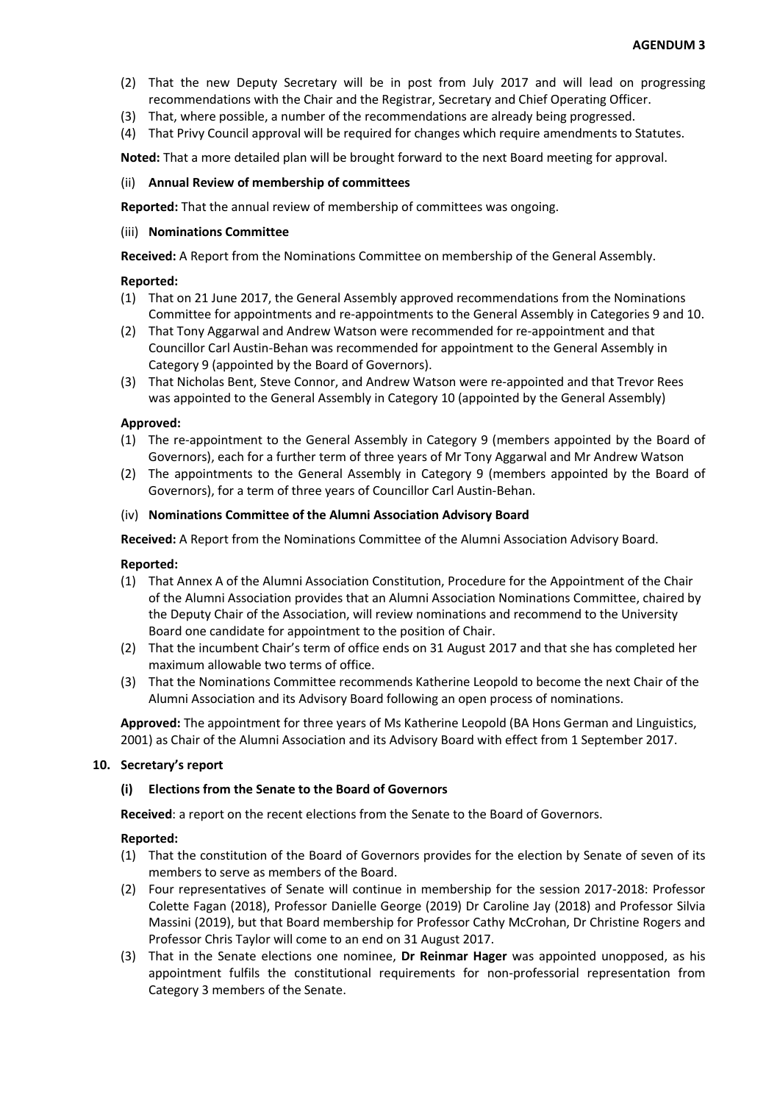- (2) That the new Deputy Secretary will be in post from July 2017 and will lead on progressing recommendations with the Chair and the Registrar, Secretary and Chief Operating Officer.
- (3) That, where possible, a number of the recommendations are already being progressed.
- (4) That Privy Council approval will be required for changes which require amendments to Statutes.

**Noted:** That a more detailed plan will be brought forward to the next Board meeting for approval.

### (ii) **Annual Review of membership of committees**

**Reported:** That the annual review of membership of committees was ongoing.

### (iii) **Nominations Committee**

**Received:** A Report from the Nominations Committee on membership of the General Assembly.

## **Reported:**

- (1) That on 21 June 2017, the General Assembly approved recommendations from the Nominations Committee for appointments and re-appointments to the General Assembly in Categories 9 and 10.
- (2) That Tony Aggarwal and Andrew Watson were recommended for re-appointment and that Councillor Carl Austin-Behan was recommended for appointment to the General Assembly in Category 9 (appointed by the Board of Governors).
- (3) That Nicholas Bent, Steve Connor, and Andrew Watson were re-appointed and that Trevor Rees was appointed to the General Assembly in Category 10 (appointed by the General Assembly)

### **Approved:**

- (1) The re-appointment to the General Assembly in Category 9 (members appointed by the Board of Governors), each for a further term of three years of Mr Tony Aggarwal and Mr Andrew Watson
- (2) The appointments to the General Assembly in Category 9 (members appointed by the Board of Governors), for a term of three years of Councillor Carl Austin-Behan.

### (iv) **Nominations Committee of the Alumni Association Advisory Board**

**Received:** A Report from the Nominations Committee of the Alumni Association Advisory Board.

## **Reported:**

- (1) That Annex A of the Alumni Association Constitution, Procedure for the Appointment of the Chair of the Alumni Association provides that an Alumni Association Nominations Committee, chaired by the Deputy Chair of the Association, will review nominations and recommend to the University Board one candidate for appointment to the position of Chair.
- (2) That the incumbent Chair's term of office ends on 31 August 2017 and that she has completed her maximum allowable two terms of office.
- (3) That the Nominations Committee recommends Katherine Leopold to become the next Chair of the Alumni Association and its Advisory Board following an open process of nominations.

**Approved:** The appointment for three years of Ms Katherine Leopold (BA Hons German and Linguistics, 2001) as Chair of the Alumni Association and its Advisory Board with effect from 1 September 2017.

## **10. Secretary's report**

## **(i) Elections from the Senate to the Board of Governors**

**Received**: a report on the recent elections from the Senate to the Board of Governors.

- (1) That the constitution of the Board of Governors provides for the election by Senate of seven of its members to serve as members of the Board.
- (2) Four representatives of Senate will continue in membership for the session 2017-2018: Professor Colette Fagan (2018), Professor Danielle George (2019) Dr Caroline Jay (2018) and Professor Silvia Massini (2019), but that Board membership for Professor Cathy McCrohan, Dr Christine Rogers and Professor Chris Taylor will come to an end on 31 August 2017.
- (3) That in the Senate elections one nominee, **Dr Reinmar Hager** was appointed unopposed, as his appointment fulfils the constitutional requirements for non-professorial representation from Category 3 members of the Senate.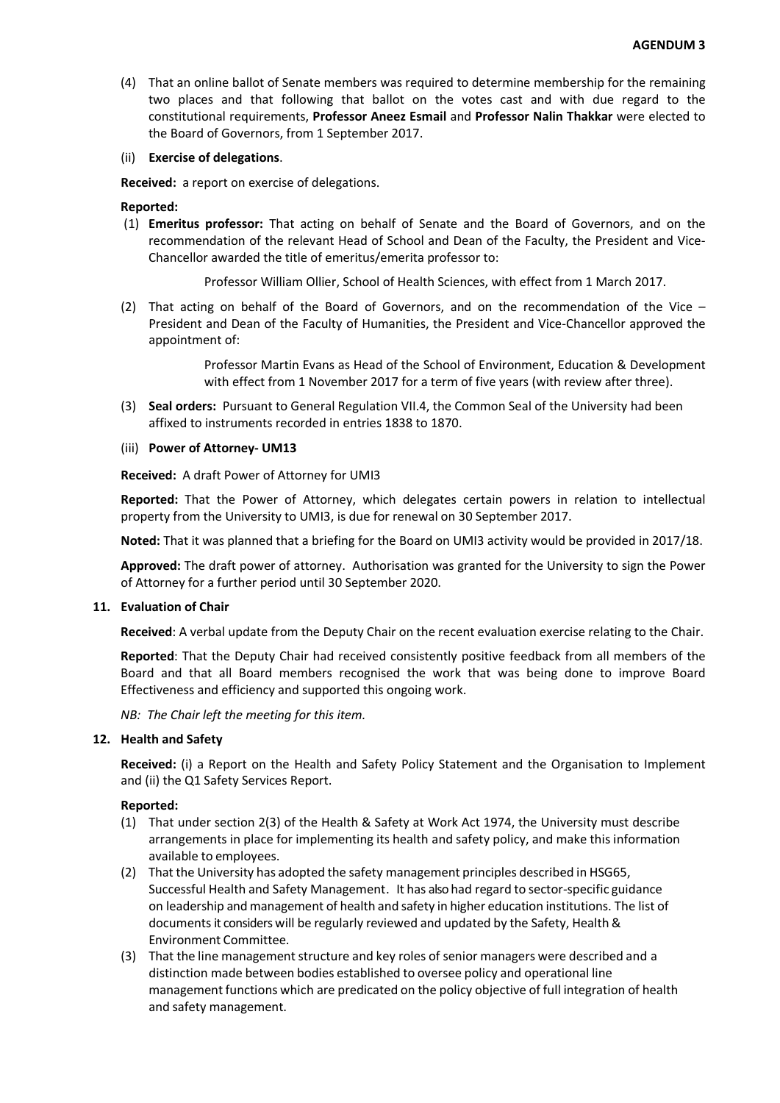(4) That an online ballot of Senate members was required to determine membership for the remaining two places and that following that ballot on the votes cast and with due regard to the constitutional requirements, **Professor Aneez Esmail** and **Professor Nalin Thakkar** were elected to the Board of Governors, from 1 September 2017.

### (ii) **Exercise of delegations**.

**Received:** a report on exercise of delegations.

### **Reported:**

(1) **Emeritus professor:** That acting on behalf of Senate and the Board of Governors, and on the recommendation of the relevant Head of School and Dean of the Faculty, the President and Vice-Chancellor awarded the title of emeritus/emerita professor to:

Professor William Ollier, School of Health Sciences, with effect from 1 March 2017.

(2) That acting on behalf of the Board of Governors, and on the recommendation of the Vice – President and Dean of the Faculty of Humanities, the President and Vice-Chancellor approved the appointment of:

> Professor Martin Evans as Head of the School of Environment, Education & Development with effect from 1 November 2017 for a term of five years (with review after three).

(3) **Seal orders:** Pursuant to General Regulation VII.4, the Common Seal of the University had been affixed to instruments recorded in entries 1838 to 1870.

#### (iii) **Power of Attorney- UM13**

**Received:** A draft Power of Attorney for UMI3

**Reported:** That the Power of Attorney, which delegates certain powers in relation to intellectual property from the University to UMI3, is due for renewal on 30 September 2017.

**Noted:** That it was planned that a briefing for the Board on UMI3 activity would be provided in 2017/18.

**Approved:** The draft power of attorney. Authorisation was granted for the University to sign the Power of Attorney for a further period until 30 September 2020.

### **11. Evaluation of Chair**

**Received**: A verbal update from the Deputy Chair on the recent evaluation exercise relating to the Chair.

**Reported**: That the Deputy Chair had received consistently positive feedback from all members of the Board and that all Board members recognised the work that was being done to improve Board Effectiveness and efficiency and supported this ongoing work.

*NB: The Chair left the meeting for this item.*

# **12. Health and Safety**

**Received:** (i) a Report on the Health and Safety Policy Statement and the Organisation to Implement and (ii) the Q1 Safety Services Report.

- (1) That under section 2(3) of the Health & Safety at Work Act 1974, the University must describe arrangements in place for implementing its health and safety policy, and make this information available to employees.
- (2) That the University has adopted the safety management principles described in HSG65, Successful Health and Safety Management. It has also had regard to sector-specific guidance on leadership and management of health and safety in higher education institutions. The list of documents it considers will be regularly reviewed and updated by the Safety, Health & Environment Committee.
- (3) That the line management structure and key roles of senior managers were described and a distinction made between bodies established to oversee policy and operational line management functions which are predicated on the policy objective of full integration of health and safety management.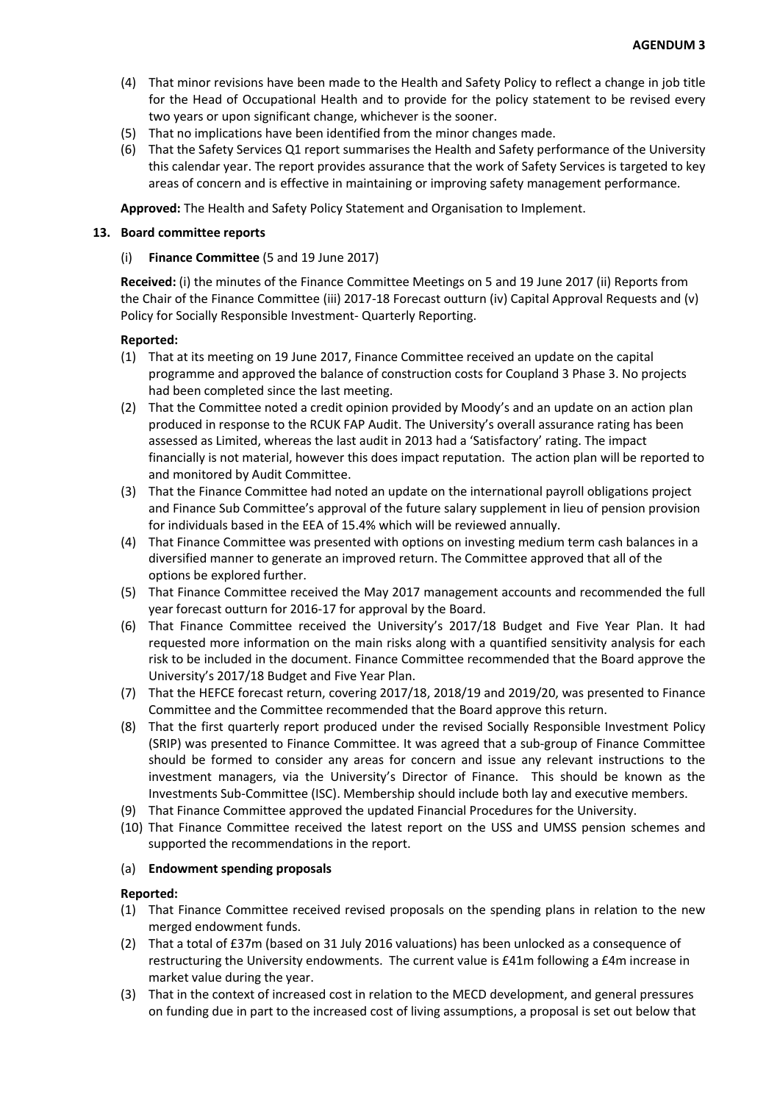- (4) That minor revisions have been made to the Health and Safety Policy to reflect a change in job title for the Head of Occupational Health and to provide for the policy statement to be revised every two years or upon significant change, whichever is the sooner.
- (5) That no implications have been identified from the minor changes made.
- (6) That the Safety Services Q1 report summarises the Health and Safety performance of the University this calendar year. The report provides assurance that the work of Safety Services is targeted to key areas of concern and is effective in maintaining or improving safety management performance.

**Approved:** The Health and Safety Policy Statement and Organisation to Implement.

# **13. Board committee reports**

# (i) **Finance Committee** (5 and 19 June 2017)

**Received:** (i) the minutes of the Finance Committee Meetings on 5 and 19 June 2017 (ii) Reports from the Chair of the Finance Committee (iii) 2017-18 Forecast outturn (iv) Capital Approval Requests and (v) Policy for Socially Responsible Investment- Quarterly Reporting.

# **Reported:**

- (1) That at its meeting on 19 June 2017, Finance Committee received an update on the capital programme and approved the balance of construction costs for Coupland 3 Phase 3. No projects had been completed since the last meeting.
- (2) That the Committee noted a credit opinion provided by Moody's and an update on an action plan produced in response to the RCUK FAP Audit. The University's overall assurance rating has been assessed as Limited, whereas the last audit in 2013 had a 'Satisfactory' rating. The impact financially is not material, however this does impact reputation. The action plan will be reported to and monitored by Audit Committee.
- (3) That the Finance Committee had noted an update on the international payroll obligations project and Finance Sub Committee's approval of the future salary supplement in lieu of pension provision for individuals based in the EEA of 15.4% which will be reviewed annually.
- (4) That Finance Committee was presented with options on investing medium term cash balances in a diversified manner to generate an improved return. The Committee approved that all of the options be explored further.
- (5) That Finance Committee received the May 2017 management accounts and recommended the full year forecast outturn for 2016-17 for approval by the Board.
- (6) That Finance Committee received the University's 2017/18 Budget and Five Year Plan. It had requested more information on the main risks along with a quantified sensitivity analysis for each risk to be included in the document. Finance Committee recommended that the Board approve the University's 2017/18 Budget and Five Year Plan.
- (7) That the HEFCE forecast return, covering 2017/18, 2018/19 and 2019/20, was presented to Finance Committee and the Committee recommended that the Board approve this return.
- (8) That the first quarterly report produced under the revised Socially Responsible Investment Policy (SRIP) was presented to Finance Committee. It was agreed that a sub-group of Finance Committee should be formed to consider any areas for concern and issue any relevant instructions to the investment managers, via the University's Director of Finance. This should be known as the Investments Sub-Committee (ISC). Membership should include both lay and executive members.
- (9) That Finance Committee approved the updated Financial Procedures for the University.
- (10) That Finance Committee received the latest report on the USS and UMSS pension schemes and supported the recommendations in the report.

## (a) **Endowment spending proposals**

- (1) That Finance Committee received revised proposals on the spending plans in relation to the new merged endowment funds.
- (2) That a total of £37m (based on 31 July 2016 valuations) has been unlocked as a consequence of restructuring the University endowments. The current value is £41m following a £4m increase in market value during the year.
- (3) That in the context of increased cost in relation to the MECD development, and general pressures on funding due in part to the increased cost of living assumptions, a proposal is set out below that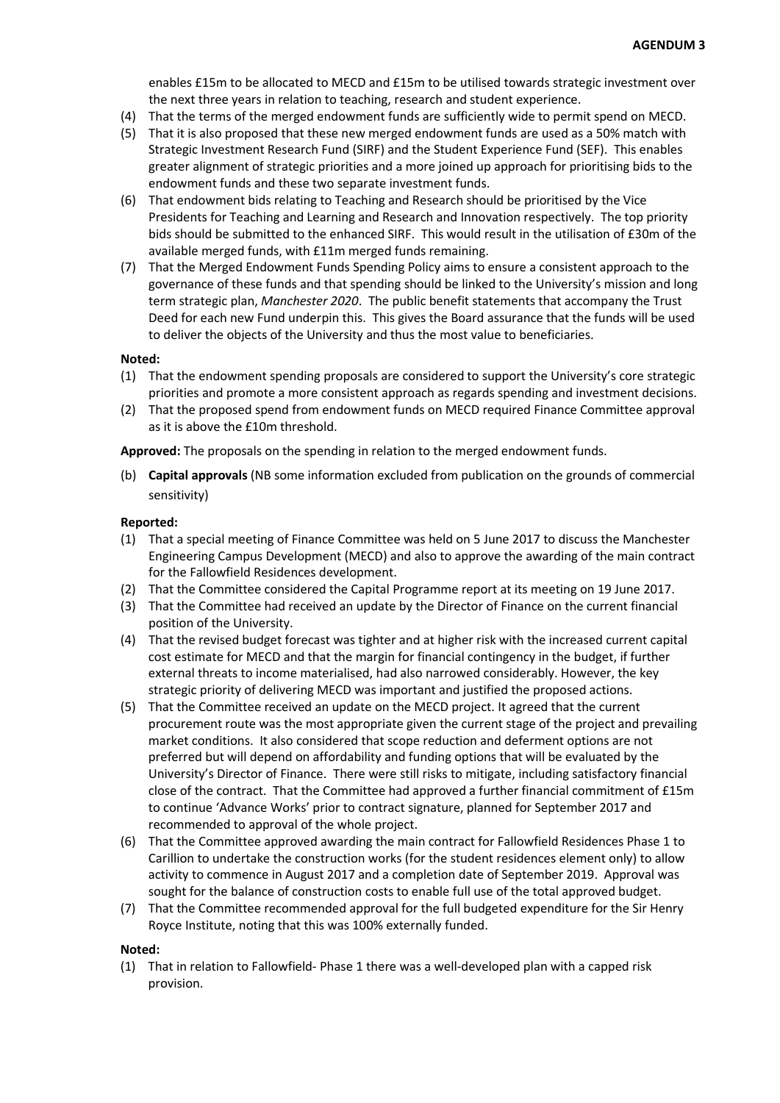enables £15m to be allocated to MECD and £15m to be utilised towards strategic investment over the next three years in relation to teaching, research and student experience.

- (4) That the terms of the merged endowment funds are sufficiently wide to permit spend on MECD.
- (5) That it is also proposed that these new merged endowment funds are used as a 50% match with Strategic Investment Research Fund (SIRF) and the Student Experience Fund (SEF). This enables greater alignment of strategic priorities and a more joined up approach for prioritising bids to the endowment funds and these two separate investment funds.
- (6) That endowment bids relating to Teaching and Research should be prioritised by the Vice Presidents for Teaching and Learning and Research and Innovation respectively. The top priority bids should be submitted to the enhanced SIRF. This would result in the utilisation of £30m of the available merged funds, with £11m merged funds remaining.
- (7) That the Merged Endowment Funds Spending Policy aims to ensure a consistent approach to the governance of these funds and that spending should be linked to the University's mission and long term strategic plan, *Manchester 2020*. The public benefit statements that accompany the Trust Deed for each new Fund underpin this.This gives the Board assurance that the funds will be used to deliver the objects of the University and thus the most value to beneficiaries.

### **Noted:**

- (1) That the endowment spending proposals are considered to support the University's core strategic priorities and promote a more consistent approach as regards spending and investment decisions.
- (2) That the proposed spend from endowment funds on MECD required Finance Committee approval as it is above the £10m threshold.

**Approved:** The proposals on the spending in relation to the merged endowment funds.

(b) **Capital approvals** (NB some information excluded from publication on the grounds of commercial sensitivity)

### **Reported:**

- (1) That a special meeting of Finance Committee was held on 5 June 2017 to discuss the Manchester Engineering Campus Development (MECD) and also to approve the awarding of the main contract for the Fallowfield Residences development.
- (2) That the Committee considered the Capital Programme report at its meeting on 19 June 2017.
- (3) That the Committee had received an update by the Director of Finance on the current financial position of the University.
- (4) That the revised budget forecast was tighter and at higher risk with the increased current capital cost estimate for MECD and that the margin for financial contingency in the budget, if further external threats to income materialised, had also narrowed considerably. However, the key strategic priority of delivering MECD was important and justified the proposed actions.
- (5) That the Committee received an update on the MECD project. It agreed that the current procurement route was the most appropriate given the current stage of the project and prevailing market conditions. It also considered that scope reduction and deferment options are not preferred but will depend on affordability and funding options that will be evaluated by the University's Director of Finance. There were still risks to mitigate, including satisfactory financial close of the contract. That the Committee had approved a further financial commitment of £15m to continue 'Advance Works' prior to contract signature, planned for September 2017 and recommended to approval of the whole project.
- (6) That the Committee approved awarding the main contract for Fallowfield Residences Phase 1 to Carillion to undertake the construction works (for the student residences element only) to allow activity to commence in August 2017 and a completion date of September 2019. Approval was sought for the balance of construction costs to enable full use of the total approved budget.
- (7) That the Committee recommended approval for the full budgeted expenditure for the Sir Henry Royce Institute, noting that this was 100% externally funded.

#### **Noted:**

(1) That in relation to Fallowfield- Phase 1 there was a well-developed plan with a capped risk provision.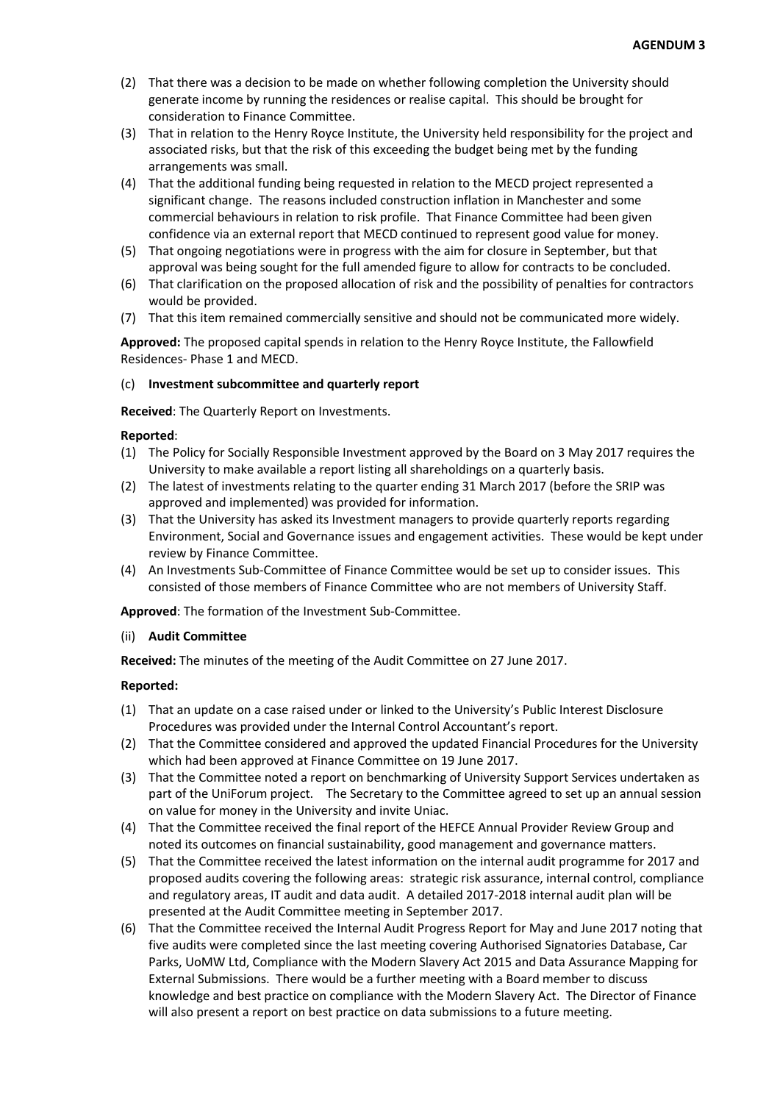- (2) That there was a decision to be made on whether following completion the University should generate income by running the residences or realise capital. This should be brought for consideration to Finance Committee.
- (3) That in relation to the Henry Royce Institute, the University held responsibility for the project and associated risks, but that the risk of this exceeding the budget being met by the funding arrangements was small.
- (4) That the additional funding being requested in relation to the MECD project represented a significant change. The reasons included construction inflation in Manchester and some commercial behaviours in relation to risk profile. That Finance Committee had been given confidence via an external report that MECD continued to represent good value for money.
- (5) That ongoing negotiations were in progress with the aim for closure in September, but that approval was being sought for the full amended figure to allow for contracts to be concluded.
- (6) That clarification on the proposed allocation of risk and the possibility of penalties for contractors would be provided.
- (7) That this item remained commercially sensitive and should not be communicated more widely.

**Approved:** The proposed capital spends in relation to the Henry Royce Institute, the Fallowfield Residences- Phase 1 and MECD.

## (c) **Investment subcommittee and quarterly report**

**Received**: The Quarterly Report on Investments.

# **Reported**:

- (1) The Policy for Socially Responsible Investment approved by the Board on 3 May 2017 requires the University to make available a report listing all shareholdings on a quarterly basis.
- (2) The latest of investments relating to the quarter ending 31 March 2017 (before the SRIP was approved and implemented) was provided for information.
- (3) That the University has asked its Investment managers to provide quarterly reports regarding Environment, Social and Governance issues and engagement activities. These would be kept under review by Finance Committee.
- (4) An Investments Sub-Committee of Finance Committee would be set up to consider issues. This consisted of those members of Finance Committee who are not members of University Staff.

**Approved**: The formation of the Investment Sub-Committee.

## (ii) **Audit Committee**

**Received:** The minutes of the meeting of the Audit Committee on 27 June 2017.

- (1) That an update on a case raised under or linked to the University's Public Interest Disclosure Procedures was provided under the Internal Control Accountant's report.
- (2) That the Committee considered and approved the updated Financial Procedures for the University which had been approved at Finance Committee on 19 June 2017.
- (3) That the Committee noted a report on benchmarking of University Support Services undertaken as part of the UniForum project. The Secretary to the Committee agreed to set up an annual session on value for money in the University and invite Uniac.
- (4) That the Committee received the final report of the HEFCE Annual Provider Review Group and noted its outcomes on financial sustainability, good management and governance matters.
- (5) That the Committee received the latest information on the internal audit programme for 2017 and proposed audits covering the following areas: strategic risk assurance, internal control, compliance and regulatory areas, IT audit and data audit. A detailed 2017-2018 internal audit plan will be presented at the Audit Committee meeting in September 2017.
- (6) That the Committee received the Internal Audit Progress Report for May and June 2017 noting that five audits were completed since the last meeting covering Authorised Signatories Database, Car Parks, UoMW Ltd, Compliance with the Modern Slavery Act 2015 and Data Assurance Mapping for External Submissions. There would be a further meeting with a Board member to discuss knowledge and best practice on compliance with the Modern Slavery Act. The Director of Finance will also present a report on best practice on data submissions to a future meeting.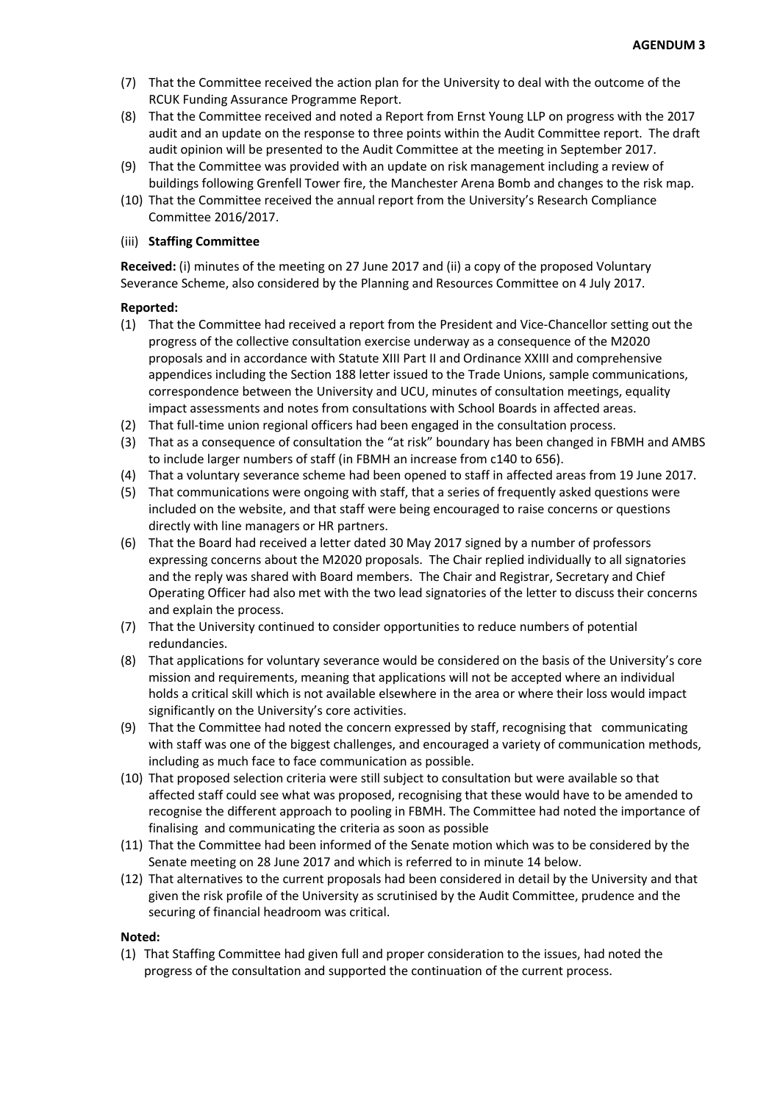- (7) That the Committee received the action plan for the University to deal with the outcome of the RCUK Funding Assurance Programme Report.
- (8) That the Committee received and noted a Report from Ernst Young LLP on progress with the 2017 audit and an update on the response to three points within the Audit Committee report. The draft audit opinion will be presented to the Audit Committee at the meeting in September 2017.
- (9) That the Committee was provided with an update on risk management including a review of buildings following Grenfell Tower fire, the Manchester Arena Bomb and changes to the risk map.
- (10) That the Committee received the annual report from the University's Research Compliance Committee 2016/2017.

# (iii) **Staffing Committee**

**Received:** (i) minutes of the meeting on 27 June 2017 and (ii) a copy of the proposed Voluntary Severance Scheme, also considered by the Planning and Resources Committee on 4 July 2017.

## **Reported:**

- (1) That the Committee had received a report from the President and Vice-Chancellor setting out the progress of the collective consultation exercise underway as a consequence of the M2020 proposals and in accordance with Statute XIII Part II and Ordinance XXIII and comprehensive appendices including the Section 188 letter issued to the Trade Unions, sample communications, correspondence between the University and UCU, minutes of consultation meetings, equality impact assessments and notes from consultations with School Boards in affected areas.
- (2) That full-time union regional officers had been engaged in the consultation process.
- (3) That as a consequence of consultation the "at risk" boundary has been changed in FBMH and AMBS to include larger numbers of staff (in FBMH an increase from c140 to 656).
- (4) That a voluntary severance scheme had been opened to staff in affected areas from 19 June 2017.
- (5) That communications were ongoing with staff, that a series of frequently asked questions were included on the website, and that staff were being encouraged to raise concerns or questions directly with line managers or HR partners.
- (6) That the Board had received a letter dated 30 May 2017 signed by a number of professors expressing concerns about the M2020 proposals. The Chair replied individually to all signatories and the reply was shared with Board members. The Chair and Registrar, Secretary and Chief Operating Officer had also met with the two lead signatories of the letter to discuss their concerns and explain the process.
- (7) That the University continued to consider opportunities to reduce numbers of potential redundancies.
- (8) That applications for voluntary severance would be considered on the basis of the University's core mission and requirements, meaning that applications will not be accepted where an individual holds a critical skill which is not available elsewhere in the area or where their loss would impact significantly on the University's core activities.
- (9) That the Committee had noted the concern expressed by staff, recognising that communicating with staff was one of the biggest challenges, and encouraged a variety of communication methods, including as much face to face communication as possible.
- (10) That proposed selection criteria were still subject to consultation but were available so that affected staff could see what was proposed, recognising that these would have to be amended to recognise the different approach to pooling in FBMH. The Committee had noted the importance of finalising and communicating the criteria as soon as possible
- (11) That the Committee had been informed of the Senate motion which was to be considered by the Senate meeting on 28 June 2017 and which is referred to in minute 14 below.
- (12) That alternatives to the current proposals had been considered in detail by the University and that given the risk profile of the University as scrutinised by the Audit Committee, prudence and the securing of financial headroom was critical.

## **Noted:**

(1) That Staffing Committee had given full and proper consideration to the issues, had noted the progress of the consultation and supported the continuation of the current process.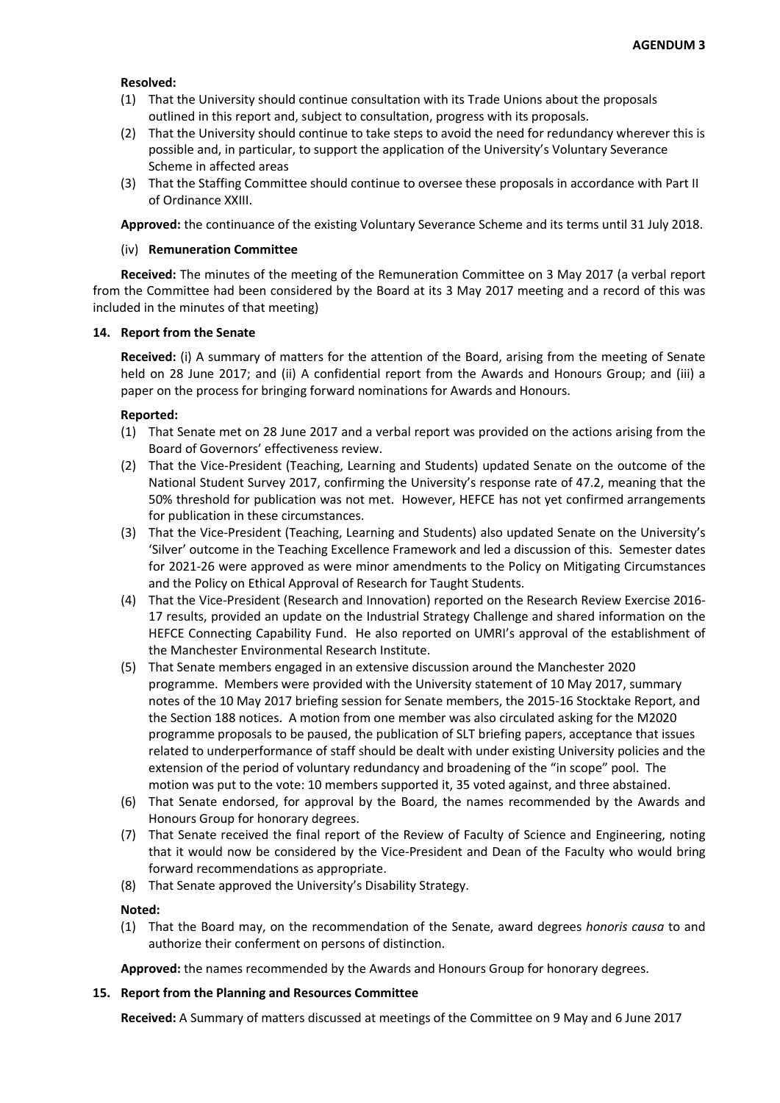# **Resolved:**

- (1) That the University should continue consultation with its Trade Unions about the proposals outlined in this report and, subject to consultation, progress with its proposals.
- (2) That the University should continue to take steps to avoid the need for redundancy wherever this is possible and, in particular, to support the application of the University's Voluntary Severance Scheme in affected areas
- (3) That the Staffing Committee should continue to oversee these proposals in accordance with Part II of Ordinance XXIII.

**Approved:** the continuance of the existing Voluntary Severance Scheme and its terms until 31 July 2018.

## (iv) **Remuneration Committee**

**Received:** The minutes of the meeting of the Remuneration Committee on 3 May 2017 (a verbal report from the Committee had been considered by the Board at its 3 May 2017 meeting and a record of this was included in the minutes of that meeting)

## **14. Report from the Senate**

**Received:** (i) A summary of matters for the attention of the Board, arising from the meeting of Senate held on 28 June 2017; and (ii) A confidential report from the Awards and Honours Group; and (iii) a paper on the process for bringing forward nominations for Awards and Honours.

## **Reported:**

- (1) That Senate met on 28 June 2017 and a verbal report was provided on the actions arising from the Board of Governors' effectiveness review.
- (2) That the Vice-President (Teaching, Learning and Students) updated Senate on the outcome of the National Student Survey 2017, confirming the University's response rate of 47.2, meaning that the 50% threshold for publication was not met. However, HEFCE has not yet confirmed arrangements for publication in these circumstances.
- (3) That the Vice-President (Teaching, Learning and Students) also updated Senate on the University's 'Silver' outcome in the Teaching Excellence Framework and led a discussion of this. Semester dates for 2021-26 were approved as were minor amendments to the Policy on Mitigating Circumstances and the Policy on Ethical Approval of Research for Taught Students.
- (4) That the Vice-President (Research and Innovation) reported on the Research Review Exercise 2016- 17 results, provided an update on the Industrial Strategy Challenge and shared information on the HEFCE Connecting Capability Fund. He also reported on UMRI's approval of the establishment of the Manchester Environmental Research Institute.
- (5) That Senate members engaged in an extensive discussion around the Manchester 2020 programme. Members were provided with the University statement of 10 May 2017, summary notes of the 10 May 2017 briefing session for Senate members, the 2015-16 Stocktake Report, and the Section 188 notices. A motion from one member was also circulated asking for the M2020 programme proposals to be paused, the publication of SLT briefing papers, acceptance that issues related to underperformance of staff should be dealt with under existing University policies and the extension of the period of voluntary redundancy and broadening of the "in scope" pool. The motion was put to the vote: 10 members supported it, 35 voted against, and three abstained.
- (6) That Senate endorsed, for approval by the Board, the names recommended by the Awards and Honours Group for honorary degrees.
- (7) That Senate received the final report of the Review of Faculty of Science and Engineering, noting that it would now be considered by the Vice-President and Dean of the Faculty who would bring forward recommendations as appropriate.
- (8) That Senate approved the University's Disability Strategy.

## **Noted:**

(1) That the Board may, on the recommendation of the Senate, award degrees *honoris causa* to and authorize their conferment on persons of distinction.

**Approved:** the names recommended by the Awards and Honours Group for honorary degrees.

## **15. Report from the Planning and Resources Committee**

**Received:** A Summary of matters discussed at meetings of the Committee on 9 May and 6 June 2017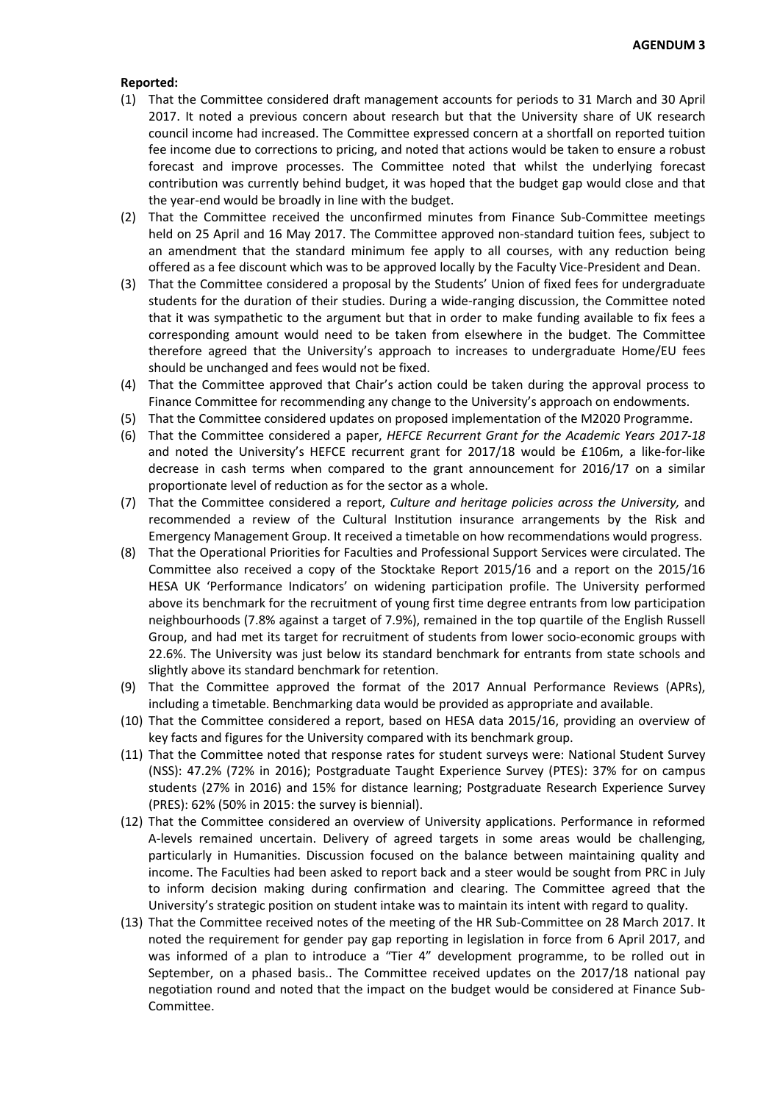- (1) That the Committee considered draft management accounts for periods to 31 March and 30 April 2017. It noted a previous concern about research but that the University share of UK research council income had increased. The Committee expressed concern at a shortfall on reported tuition fee income due to corrections to pricing, and noted that actions would be taken to ensure a robust forecast and improve processes. The Committee noted that whilst the underlying forecast contribution was currently behind budget, it was hoped that the budget gap would close and that the year-end would be broadly in line with the budget.
- (2) That the Committee received the unconfirmed minutes from Finance Sub-Committee meetings held on 25 April and 16 May 2017. The Committee approved non-standard tuition fees, subject to an amendment that the standard minimum fee apply to all courses, with any reduction being offered as a fee discount which was to be approved locally by the Faculty Vice-President and Dean.
- (3) That the Committee considered a proposal by the Students' Union of fixed fees for undergraduate students for the duration of their studies. During a wide-ranging discussion, the Committee noted that it was sympathetic to the argument but that in order to make funding available to fix fees a corresponding amount would need to be taken from elsewhere in the budget. The Committee therefore agreed that the University's approach to increases to undergraduate Home/EU fees should be unchanged and fees would not be fixed.
- (4) That the Committee approved that Chair's action could be taken during the approval process to Finance Committee for recommending any change to the University's approach on endowments.
- (5) That the Committee considered updates on proposed implementation of the M2020 Programme.
- (6) That the Committee considered a paper, *HEFCE Recurrent Grant for the Academic Years 2017-18* and noted the University's HEFCE recurrent grant for 2017/18 would be £106m, a like-for-like decrease in cash terms when compared to the grant announcement for 2016/17 on a similar proportionate level of reduction as for the sector as a whole.
- (7) That the Committee considered a report, *Culture and heritage policies across the University,* and recommended a review of the Cultural Institution insurance arrangements by the Risk and Emergency Management Group. It received a timetable on how recommendations would progress.
- (8) That the Operational Priorities for Faculties and Professional Support Services were circulated. The Committee also received a copy of the Stocktake Report 2015/16 and a report on the 2015/16 HESA UK 'Performance Indicators' on widening participation profile. The University performed above its benchmark for the recruitment of young first time degree entrants from low participation neighbourhoods (7.8% against a target of 7.9%), remained in the top quartile of the English Russell Group, and had met its target for recruitment of students from lower socio-economic groups with 22.6%. The University was just below its standard benchmark for entrants from state schools and slightly above its standard benchmark for retention.
- (9) That the Committee approved the format of the 2017 Annual Performance Reviews (APRs), including a timetable. Benchmarking data would be provided as appropriate and available.
- (10) That the Committee considered a report, based on HESA data 2015/16, providing an overview of key facts and figures for the University compared with its benchmark group.
- (11) That the Committee noted that response rates for student surveys were: National Student Survey (NSS): 47.2% (72% in 2016); Postgraduate Taught Experience Survey (PTES): 37% for on campus students (27% in 2016) and 15% for distance learning; Postgraduate Research Experience Survey (PRES): 62% (50% in 2015: the survey is biennial).
- (12) That the Committee considered an overview of University applications. Performance in reformed A-levels remained uncertain. Delivery of agreed targets in some areas would be challenging, particularly in Humanities. Discussion focused on the balance between maintaining quality and income. The Faculties had been asked to report back and a steer would be sought from PRC in July to inform decision making during confirmation and clearing. The Committee agreed that the University's strategic position on student intake was to maintain its intent with regard to quality.
- (13) That the Committee received notes of the meeting of the HR Sub-Committee on 28 March 2017. It noted the requirement for gender pay gap reporting in legislation in force from 6 April 2017, and was informed of a plan to introduce a "Tier 4" development programme, to be rolled out in September, on a phased basis.. The Committee received updates on the 2017/18 national pay negotiation round and noted that the impact on the budget would be considered at Finance Sub-Committee.